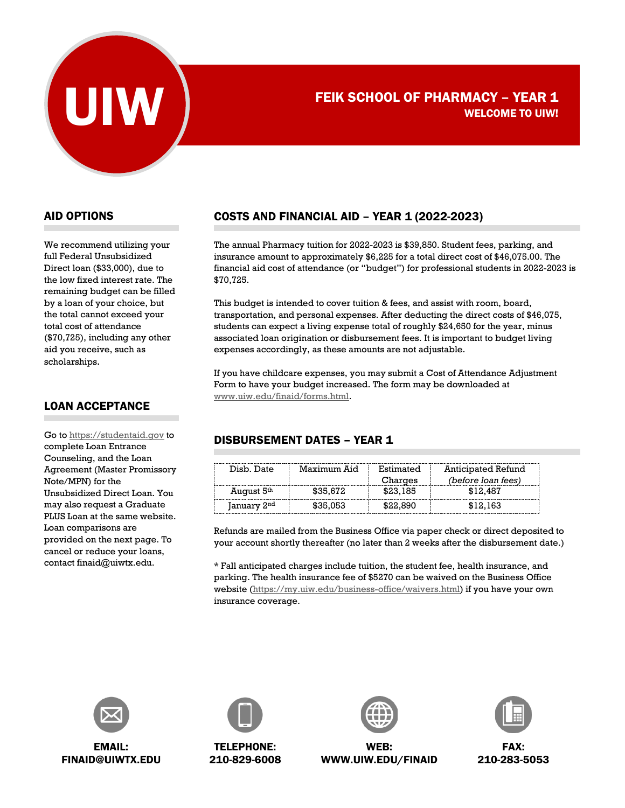

# FEIK SCHOOL OF PHARMACY - YEAR 1 WELCOME TO UIW!

#### AID OPTIONS

We recommend utilizing your full Federal Unsubsidized Direct loan (\$33,000), due to the low fixed interest rate. The remaining budget can be filled by a loan of your choice, but the total cannot exceed your total cost of attendance (\$70,725), including any other aid you receive, such as scholarships.

#### LOAN ACCEPTANCE

Go to [https://studentaid.gov](https://studentaid.gov/) to complete Loan Entrance Counseling, and the Loan Agreement (Master Promissory Note/MPN) for the Unsubsidized Direct Loan. You may also request a Graduate PLUS Loan at the same website. Loan comparisons are provided on the next page. To cancel or reduce your loans, contact finaid@uiwtx.edu.

# COSTS AND FINANCIAL AID – YEAR 1 (2022-2023)

The annual Pharmacy tuition for 2022-2023 is \$39,850. Student fees, parking, and insurance amount to approximately \$6,225 for a total direct cost of \$46,075.00. The financial aid cost of attendance (or "budget") for professional students in 2022-2023 is \$70,725.

This budget is intended to cover tuition & fees, and assist with room, board, transportation, and personal expenses. After deducting the direct costs of \$46,075, students can expect a living expense total of roughly \$24,650 for the year, minus associated loan origination or disbursement fees. It is important to budget living expenses accordingly, as these amounts are not adjustable.

If you have childcare expenses, you may submit a Cost of Attendance Adjustment Form to have your budget increased. The form may be downloaded at [www.uiw.edu/finaid/forms.html.](http://www.uiw.edu/finaid/forms.html)

## DISBURSEMENT DATES – YEAR 1

| Disb. Date              | Maximum Aid | Estimated<br>Charges | Anticipated Refund<br><i>(before loan fees)</i> |
|-------------------------|-------------|----------------------|-------------------------------------------------|
| August 5th              | \$35,672    | \$23,185             | \$12.487                                        |
| January 2 <sup>nd</sup> | \$35,053    | \$22.890             | \$12,163                                        |

Refunds are mailed from the Business Office via paper check or direct deposited to your account shortly thereafter (no later than 2 weeks after the disbursement date.)

\* Fall anticipated charges include tuition, the student fee, health insurance, and parking. The health insurance fee of \$5270 can be waived on the Business Office website [\(https://my.uiw.edu/business-office/waivers.html\)](https://my.uiw.edu/business-office/waivers.html) if you have your own insurance coverage.



FINAID@UIWTX.EDU



TELEPHONE: 210-829-6008



WEB: WWW.UIW.EDU/FINAID



FAX: 210-283-5053